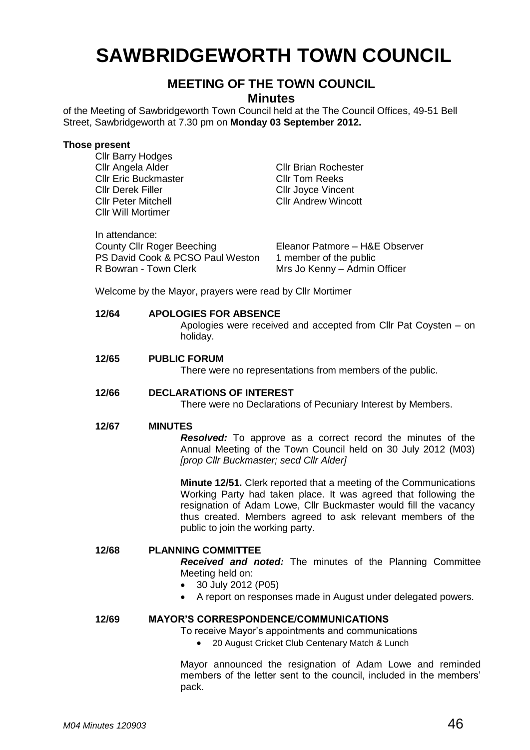# **SAWBRIDGEWORTH TOWN COUNCIL**

# **MEETING OF THE TOWN COUNCIL**

### **Minutes**

of the Meeting of Sawbridgeworth Town Council held at the The Council Offices, 49-51 Bell Street, Sawbridgeworth at 7.30 pm on **Monday 03 September 2012.**

#### **Those present**

Cllr Barry Hodges

| Cllr Angela Alder<br><b>Cllr Eric Buckmaster</b><br><b>Cllr Derek Filler</b><br><b>Cllr Peter Mitchell</b><br><b>Cllr Will Mortimer</b> | <b>CIIr Brian Rochester</b><br><b>CIIr Tom Reeks</b><br><b>CIIr Joyce Vincent</b><br><b>Cllr Andrew Wincott</b> |
|-----------------------------------------------------------------------------------------------------------------------------------------|-----------------------------------------------------------------------------------------------------------------|
| In attendance:<br><b>County Cllr Roger Beeching</b><br>PS David Cook & PCSO Paul Weston<br>R Bowran - Town Clerk                        | Eleanor Patmore - H&E Observer<br>1 member of the public<br>Mrs Jo Kenny - Admin Officer                        |

Welcome by the Mayor, prayers were read by Cllr Mortimer

#### **12/64 APOLOGIES FOR ABSENCE**

Apologies were received and accepted from Cllr Pat Coysten – on holiday.

#### **12/65 PUBLIC FORUM**

There were no representations from members of the public.

#### **12/66 DECLARATIONS OF INTEREST**

There were no Declarations of Pecuniary Interest by Members.

#### **12/67 MINUTES**

*Resolved:* To approve as a correct record the minutes of the Annual Meeting of the Town Council held on 30 July 2012 (M03) *[prop Cllr Buckmaster; secd Cllr Alder]*

**Minute 12/51.** Clerk reported that a meeting of the Communications Working Party had taken place. It was agreed that following the resignation of Adam Lowe, Cllr Buckmaster would fill the vacancy thus created. Members agreed to ask relevant members of the public to join the working party.

#### **12/68 PLANNING COMMITTEE**

*Received and noted:* The minutes of the Planning Committee Meeting held on:

- 30 July 2012 (P05)
- A report on responses made in August under delegated powers.

#### **12/69 MAYOR'S CORRESPONDENCE/COMMUNICATIONS**

To receive Mayor's appointments and communications

20 August Cricket Club Centenary Match & Lunch

Mayor announced the resignation of Adam Lowe and reminded members of the letter sent to the council, included in the members' pack.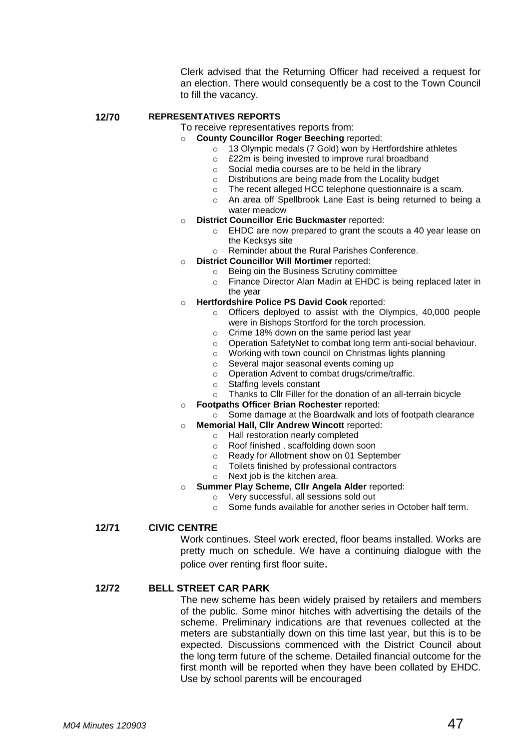Clerk advised that the Returning Officer had received a request for an election. There would consequently be a cost to the Town Council to fill the vacancy.

## **12/70 REPRESENTATIVES REPORTS**

To receive representatives reports from:

- o **County Councillor Roger Beeching** reported:
	- o 13 Olympic medals (7 Gold) won by Hertfordshire athletes
	- o £22m is being invested to improve rural broadband
	- o Social media courses are to be held in the library
	- Distributions are being made from the Locality budget
	- o The recent alleged HCC telephone questionnaire is a scam.
	- o An area off Spellbrook Lane East is being returned to being a water meadow
- o **District Councillor Eric Buckmaster** reported:
	- o EHDC are now prepared to grant the scouts a 40 year lease on the Kecksys site
	- o Reminder about the Rural Parishes Conference.
- o **District Councillor Will Mortimer** reported:
	- o Being oin the Business Scrutiny committee
		- o Finance Director Alan Madin at EHDC is being replaced later in the year
- o **Hertfordshire Police PS David Cook** reported:
	- o Officers deployed to assist with the Olympics, 40,000 people were in Bishops Stortford for the torch procession.
	- o Crime 18% down on the same period last year
	- o Operation SafetyNet to combat long term anti-social behaviour.
	- o Working with town council on Christmas lights planning
	- o Several major seasonal events coming up
	- o Operation Advent to combat drugs/crime/traffic.
	- o Staffing levels constant
	- o Thanks to Cllr Filler for the donation of an all-terrain bicycle
- o **Footpaths Officer Brian Rochester** reported:
	- o Some damage at the Boardwalk and lots of footpath clearance
- o **Memorial Hall, Cllr Andrew Wincott** reported:
	- o Hall restoration nearly completed
	- o Roof finished , scaffolding down soon
	- o Ready for Allotment show on 01 September
	- o Toilets finished by professional contractors
	- o Next job is the kitchen area.
- **Summer Play Scheme, Cllr Angela Alder reported:** 
	- o Very successful, all sessions sold out
	- Some funds available for another series in October half term.

**12/71 CIVIC CENTRE**

Work continues. Steel work erected, floor beams installed. Works are pretty much on schedule. We have a continuing dialogue with the police over renting first floor suite.

#### **12/72 BELL STREET CAR PARK**

The new scheme has been widely praised by retailers and members of the public. Some minor hitches with advertising the details of the scheme. Preliminary indications are that revenues collected at the meters are substantially down on this time last year, but this is to be expected. Discussions commenced with the District Council about the long term future of the scheme. Detailed financial outcome for the first month will be reported when they have been collated by EHDC. Use by school parents will be encouraged